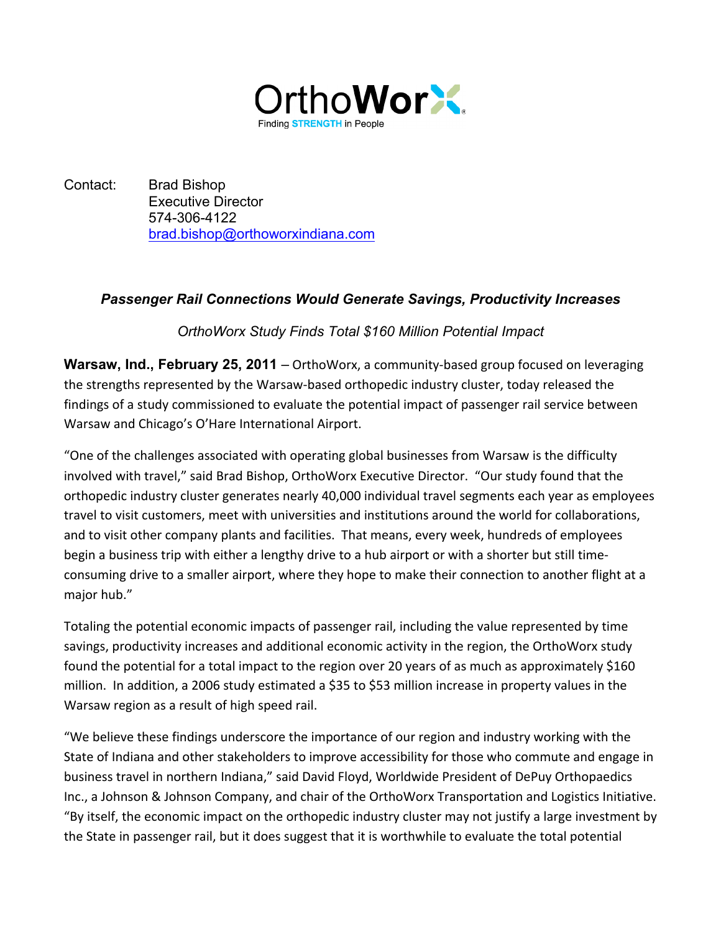

Contact: Brad Bishop Executive Director 574-306-4122 brad.bishop@orthoworxindiana.com

## *Passenger Rail Connections Would Generate Savings, Productivity Increases*

## *OrthoWorx Study Finds Total \$160 Million Potential Impact*

**Warsaw, Ind., February 25, 2011** – OrthoWorx, a community-based group focused on leveraging the strengths represented by the Warsaw-based orthopedic industry cluster, today released the findings of a study commissioned to evaluate the potential impact of passenger rail service between Warsaw and Chicago's O'Hare International Airport.

"One of the challenges associated with operating global businesses from Warsaw is the difficulty involved with travel," said Brad Bishop, OrthoWorx Executive Director. "Our study found that the orthopedic industry cluster generates nearly 40,000 individual travel segments each year as employees travel to visit customers, meet with universities and institutions around the world for collaborations, and to visit other company plants and facilities. That means, every week, hundreds of employees begin a business trip with either a lengthy drive to a hub airport or with a shorter but still timeconsuming drive to a smaller airport, where they hope to make their connection to another flight at a major hub."

Totaling the potential economic impacts of passenger rail, including the value represented by time savings, productivity increases and additional economic activity in the region, the OrthoWorx study found the potential for a total impact to the region over 20 years of as much as approximately \$160 million. In addition, a 2006 study estimated a \$35 to \$53 million increase in property values in the Warsaw region as a result of high speed rail.

"We believe these findings underscore the importance of our region and industry working with the State of Indiana and other stakeholders to improve accessibility for those who commute and engage in business travel in northern Indiana," said David Floyd, Worldwide President of DePuy Orthopaedics Inc., a Johnson & Johnson Company, and chair of the OrthoWorx Transportation and Logistics Initiative. "By itself, the economic impact on the orthopedic industry cluster may not justify a large investment by the State in passenger rail, but it does suggest that it is worthwhile to evaluate the total potential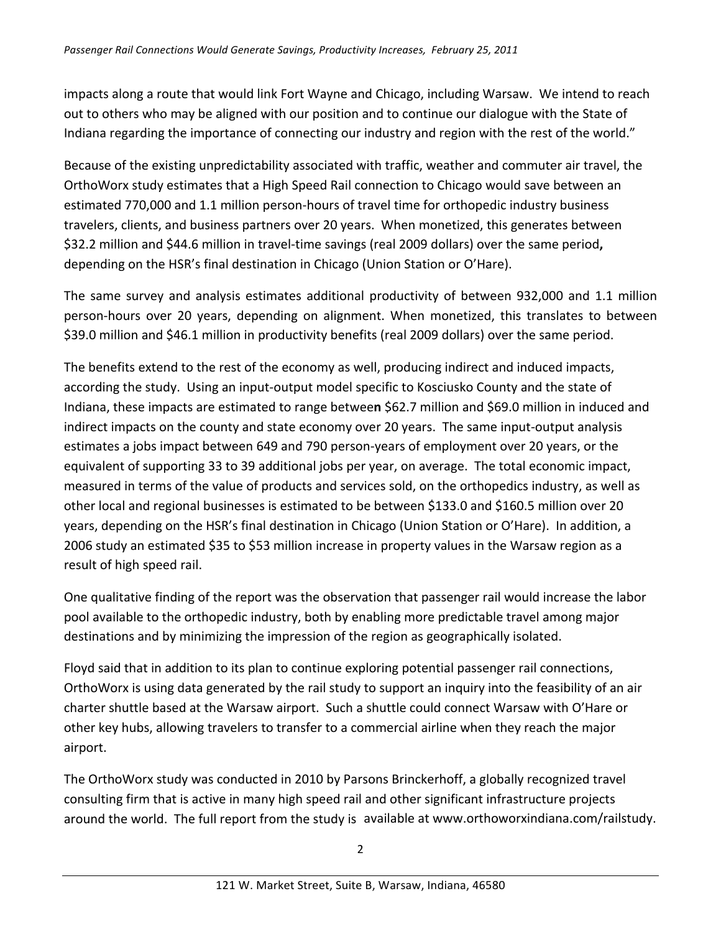impacts along a route that would link Fort Wayne and Chicago, including Warsaw. We intend to reach out to others who may be aligned with our position and to continue our dialogue with the State of Indiana regarding the importance of connecting our industry and region with the rest of the world."

Because of the existing unpredictability associated with traffic, weather and commuter air travel, the OrthoWorx study estimates that a High Speed Rail connection to Chicago would save between an estimated 770,000 and 1.1 million person-hours of travel time for orthopedic industry business travelers, clients, and business partners over 20 years. When monetized, this generates between \$32.2 million and \$44.6 million in travel-time savings (real 2009 dollars) over the same period, depending on the HSR's final destination in Chicago (Union Station or O'Hare).

The same survey and analysis estimates additional productivity of between 932,000 and 1.1 million person-hours over 20 years, depending on alignment. When monetized, this translates to between \$39.0 million and \$46.1 million in productivity benefits (real 2009 dollars) over the same period.

The benefits extend to the rest of the economy as well, producing indirect and induced impacts, according the study. Using an input-output model specific to Kosciusko County and the state of Indiana, these impacts are estimated to range between \$62.7 million and \$69.0 million in induced and indirect impacts on the county and state economy over 20 years. The same input-output analysis estimates a jobs impact between 649 and 790 person-years of employment over 20 years, or the equivalent of supporting 33 to 39 additional jobs per year, on average. The total economic impact, measured in terms of the value of products and services sold, on the orthopedics industry, as well as other local and regional businesses is estimated to be between \$133.0 and \$160.5 million over 20 years, depending on the HSR's final destination in Chicago (Union Station or O'Hare). In addition, a 2006 study an estimated \$35 to \$53 million increase in property values in the Warsaw region as a result of high speed rail.

One qualitative finding of the report was the observation that passenger rail would increase the labor pool available to the orthopedic industry, both by enabling more predictable travel among major destinations and by minimizing the impression of the region as geographically isolated.

Floyd said that in addition to its plan to continue exploring potential passenger rail connections, OrthoWorx is using data generated by the rail study to support an inquiry into the feasibility of an air charter shuttle based at the Warsaw airport. Such a shuttle could connect Warsaw with O'Hare or other key hubs, allowing travelers to transfer to a commercial airline when they reach the major airport.

The OrthoWorx study was conducted in 2010 by Parsons Brinckerhoff, a globally recognized travel consulting firm that is active in many high speed rail and other significant infrastructure projects around the world. The full report from the study is available at www.orthoworxindiana.com/railstudy.